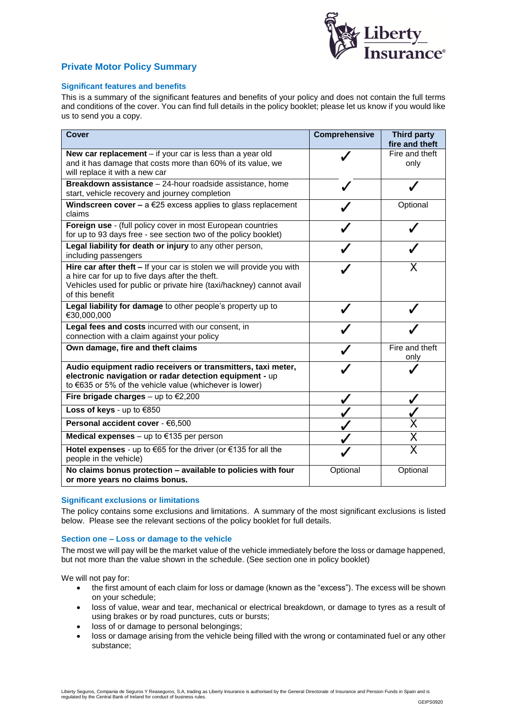

# **Private Motor Policy Summary**

## **Significant features and benefits**

This is a summary of the significant features and benefits of your policy and does not contain the full terms and conditions of the cover. You can find full details in the policy booklet; please let us know if you would like us to send you a copy.

| <b>Cover</b>                                                                                                                                                                                                        | Comprehensive | <b>Third party</b><br>fire and theft |
|---------------------------------------------------------------------------------------------------------------------------------------------------------------------------------------------------------------------|---------------|--------------------------------------|
| New car replacement $-$ if your car is less than a year old<br>and it has damage that costs more than 60% of its value, we<br>will replace it with a new car                                                        |               | Fire and theft<br>only               |
| Breakdown assistance - 24-hour roadside assistance, home<br>start, vehicle recovery and journey completion                                                                                                          |               |                                      |
| Windscreen cover - $a \in 25$ excess applies to glass replacement<br>claims                                                                                                                                         |               | Optional                             |
| Foreign use - (full policy cover in most European countries<br>for up to 93 days free - see section two of the policy booklet)                                                                                      |               |                                      |
| Legal liability for death or injury to any other person,<br>including passengers                                                                                                                                    |               |                                      |
| Hire car after theft - If your car is stolen we will provide you with<br>a hire car for up to five days after the theft.<br>Vehicles used for public or private hire (taxi/hackney) cannot avail<br>of this benefit |               |                                      |
| Legal liability for damage to other people's property up to<br>€30,000,000                                                                                                                                          |               |                                      |
| Legal fees and costs incurred with our consent, in<br>connection with a claim against your policy                                                                                                                   |               |                                      |
| Own damage, fire and theft claims                                                                                                                                                                                   |               | Fire and theft<br>only               |
| Audio equipment radio receivers or transmitters, taxi meter,<br>electronic navigation or radar detection equipment - up<br>to €635 or 5% of the vehicle value (whichever is lower)                                  |               |                                      |
| Fire brigade charges – up to $\epsilon$ 2,200                                                                                                                                                                       |               |                                      |
| Loss of keys - up to €850                                                                                                                                                                                           |               |                                      |
| Personal accident cover - €6,500                                                                                                                                                                                    |               |                                      |
| Medical expenses $-$ up to $€135$ per person                                                                                                                                                                        |               | Χ                                    |
| Hotel expenses - up to €65 for the driver (or €135 for all the<br>people in the vehicle)                                                                                                                            |               | X                                    |
| No claims bonus protection - available to policies with four<br>or more years no claims bonus.                                                                                                                      | Optional      | Optional                             |

## **Significant exclusions or limitations**

The policy contains some exclusions and limitations. A summary of the most significant exclusions is listed below. Please see the relevant sections of the policy booklet for full details.

#### **Section one – Loss or damage to the vehicle**

The most we will pay will be the market value of the vehicle immediately before the loss or damage happened, but not more than the value shown in the schedule. (See section one in policy booklet)

We will not pay for:

- the first amount of each claim for loss or damage (known as the "excess"). The excess will be shown on your schedule;
- loss of value, wear and tear, mechanical or electrical breakdown, or damage to tyres as a result of using brakes or by road punctures, cuts or bursts;
- loss of or damage to personal belongings:
- loss or damage arising from the vehicle being filled with the wrong or contaminated fuel or any other substance;